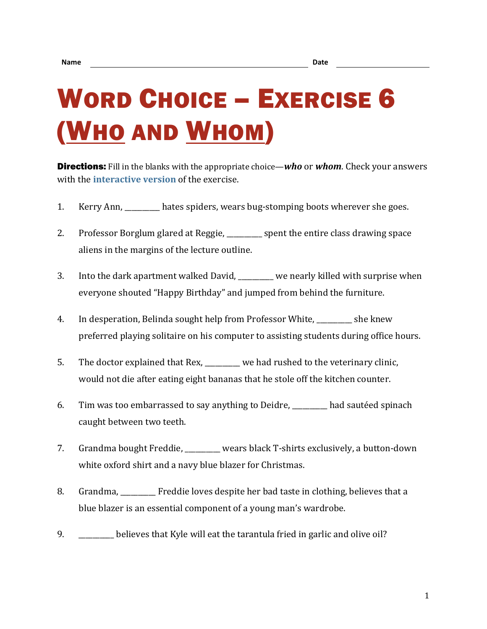## WORD CHOICE – EXERCISE 6 (WHO AND WHOM)

Directions: Fill in the blanks with the appropriate choice—*who* or *whom*. Check your answers with the **[interactive version](https://chompchomp.com/hotpotatoes/wordchoice06.htm)** of the exercise.

- 1. Kerry Ann, hates spiders, wears bug-stomping boots wherever she goes.
- 2. Professor Borglum glared at Reggie, entimed as spent the entire class drawing space aliens in the margins of the lecture outline.
- 3. Into the dark apartment walked David, \_\_\_\_\_\_\_\_\_\_ we nearly killed with surprise when everyone shouted "Happy Birthday" and jumped from behind the furniture.
- 4. In desperation, Belinda sought help from Professor White, she knew preferred playing solitaire on his computer to assisting students during office hours.
- 5. The doctor explained that Rex, \_\_\_\_\_\_\_\_\_\_ we had rushed to the veterinary clinic, would not die after eating eight bananas that he stole off the kitchen counter.
- 6. Tim was too embarrassed to say anything to Deidre, \_\_\_\_\_\_\_\_\_\_ had sautéed spinach caught between two teeth.
- 7. Grandma bought Freddie, \_\_\_\_\_\_\_\_\_\_ wears black T-shirts exclusively, a button-down white oxford shirt and a navy blue blazer for Christmas.
- 8. Grandma, Freddie loves despite her bad taste in clothing, believes that a blue blazer is an essential component of a young man's wardrobe.
- 9. \_\_\_\_\_\_\_\_\_\_ believes that Kyle will eat the tarantula fried in garlic and olive oil?